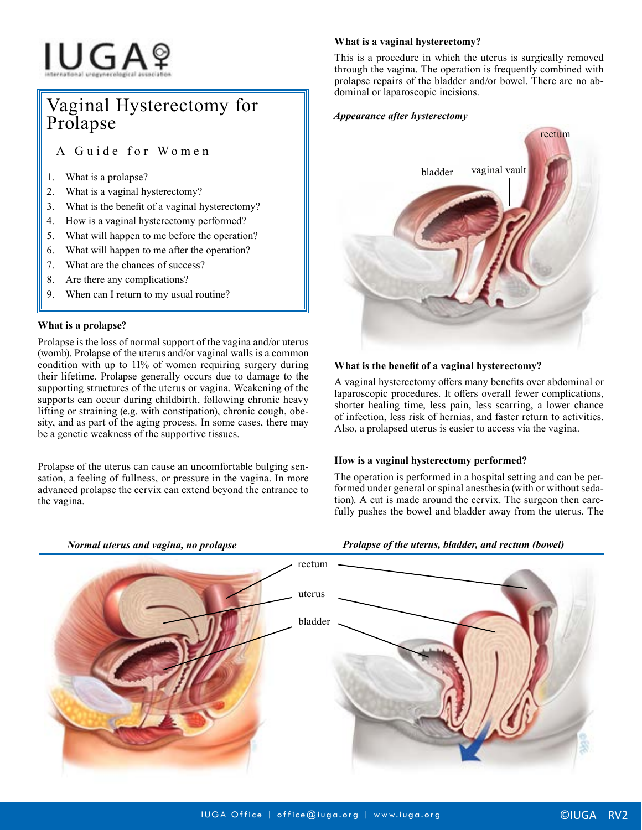# **IUGA**?

# Vaginal Hysterectomy for Prolapse

A Guide for Women

- 1. What is a prolapse?
- 2. What is a vaginal hysterectomy?
- 3. What is the benefit of a vaginal hysterectomy?
- 4. How is a vaginal hysterectomy performed?
- 5. What will happen to me before the operation?
- 6. What will happen to me after the operation?
- 7. What are the chances of success?
- 8. Are there any complications?
- 9. When can I return to my usual routine?

# **What is a prolapse?**

Prolapse is the loss of normal support of the vagina and/or uterus (womb). Prolapse of the uterus and/or vaginal walls is a common condition with up to 11% of women requiring surgery during their lifetime. Prolapse generally occurs due to damage to the supporting structures of the uterus or vagina. Weakening of the supports can occur during childbirth, following chronic heavy lifting or straining (e.g. with constipation), chronic cough, obesity, and as part of the aging process. In some cases, there may be a genetic weakness of the supportive tissues.

Prolapse of the uterus can cause an uncomfortable bulging sensation, a feeling of fullness, or pressure in the vagina. In more advanced prolapse the cervix can extend beyond the entrance to the vagina.

# **What is a vaginal hysterectomy?**

This is a procedure in which the uterus is surgically removed through the vagina. The operation is frequently combined with prolapse repairs of the bladder and/or bowel. There are no abdominal or laparoscopic incisions.

## *Appearance after hysterectomy*



# **What is the benefit of a vaginal hysterectomy?**

A vaginal hysterectomy offers many benefits over abdominal or laparoscopic procedures. It offers overall fewer complications, shorter healing time, less pain, less scarring, a lower chance of infection, less risk of hernias, and faster return to activities. Also, a prolapsed uterus is easier to access via the vagina.

### **How is a vaginal hysterectomy performed?**

The operation is performed in a hospital setting and can be performed under general or spinal anesthesia (with or without sedation). A cut is made around the cervix. The surgeon then carefully pushes the bowel and bladder away from the uterus. The

*Prolapse of the uterus, bladder, and rectum (bowel)*



*Normal uterus and vagina, no prolapse*